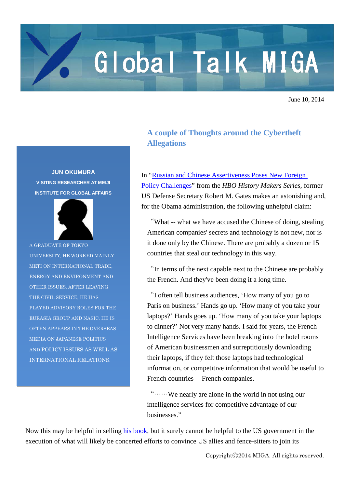## Global Talk MIGA

June 10, 2014

## **JUN OKUMURA VISITING RESEARCHER AT MEIJI INSTITUTE FOR GLOBAL AFFAIRS**



A GRADUATE OF TOKYO UNIVERSITY, HE WORKED MAINLY METI ON INTERNATIONAL TRADE, ENERGY AND ENVIRONMENT AND OTHER ISSUES. AFTER LEAVING THE CIVIL SERVICE, HE HAS PLAYED ADVISORY ROLES FOR THE EURASIA GROUP AND NASIC. HE IS OFTEN APPEARS IN THE OVERSEAS MEDIA ON JAPANESE POLITICS AND POLICY ISSUES AS WELL AS INTERNATIONAL RELATIONS.

## **A couple of Thoughts around the Cybertheft Allegations**

In ["Russian and Chinese Assertiveness Poses New Foreign](http://www.cfr.org/defense-and-security/russian-chinese-assertiveness-poses-new-foreign-policy-challenges/p33015)  [Policy Challenges"](http://www.cfr.org/defense-and-security/russian-chinese-assertiveness-poses-new-foreign-policy-challenges/p33015) from the *HBO History Makers Series*, former US Defense Secretary Robert M. Gates makes an astonishing and, for the Obama administration, the following unhelpful claim:

"What -- what we have accused the Chinese of doing, stealing American companies' secrets and technology is not new, nor is it done only by the Chinese. There are probably a dozen or 15 countries that steal our technology in this way.

"In terms of the next capable next to the Chinese are probably the French. And they've been doing it a long time.

"I often tell business audiences, 'How many of you go to Paris on business.' Hands go up. 'How many of you take your laptops?' Hands goes up. 'How many of you take your laptops to dinner?' Not very many hands. I said for years, the French Intelligence Services have been breaking into the hotel rooms of American businessmen and surreptitiously downloading their laptops, if they felt those laptops had technological information, or competitive information that would be useful to French countries -- French companies.

"……We nearly are alone in the world in not using our intelligence services for competitive advantage of our businesses."

Now this may be helpful in selling [his book,](http://www.barnesandnoble.com/w/duty-robert-m-gates/1116911370?ean=9780307959478) but it surely cannot be helpful to the US government in the execution of what will likely be concerted efforts to convince US allies and fence-sitters to join its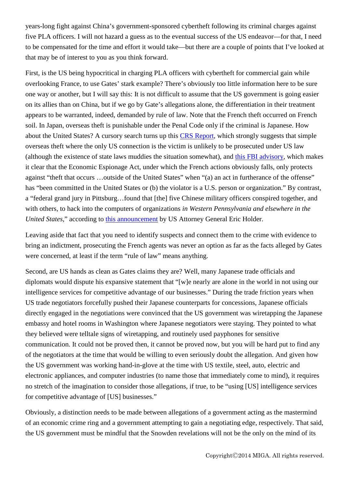years-long fight against China's government-sponsored cybertheft following its criminal charges against five PLA officers. I will not hazard a guess as to the eventual success of the US endeavor—for that, I need to be compensated for the time and effort it would take—but there are a couple of points that I've looked at that may be of interest to you as you think forward.

First, is the US being hypocritical in charging PLA officers with cybertheft for commercial gain while overlooking France, to use Gates' stark example? There's obviously too little information here to be sure one way or another, but I will say this: It is not difficult to assume that the US government is going easier on its allies than on China, but if we go by Gate's allegations alone, the differentiation in their treatment appears to be warranted, indeed, demanded by rule of law. Note that the French theft occurred on French soil. In Japan, overseas theft is punishable under the Penal Code only if the criminal is Japanese. How about the United States? A cursory search turns up this [CRS Report,](http://www.fas.org/sgp/crs/misc/94-166.pdf) which strongly suggests that simple overseas theft where the only US connection is the victim is unlikely to be prosecuted under US law (although the existence of state laws muddies the situation somewhat), and [this FBI advisory,](http://www.fbi.gov/about-us/investigate/counterintelligence/economic-espionage) which makes it clear that the Economic Espionage Act, under which the French actions obviously falls, only protects against "theft that occurs …outside of the United States" when "(a) an act in furtherance of the offense" has "been committed in the United States or (b) the violator is a U.S. person or organization." By contrast, a "federal grand jury in Pittsburg…found that [the] five Chinese military officers conspired together, and with others, to hack into the computers of organizations *in Western Pennsylvania and elsewhere in the United States,*" according to this [announcement](http://www.justice.gov/iso/opa/ag/speeches/2014/ag-speech-140519.html) by US Attorney General Eric Holder.

Leaving aside that fact that you need to identify suspects and connect them to the crime with evidence to bring an indictment, prosecuting the French agents was never an option as far as the facts alleged by Gates were concerned, at least if the term "rule of law" means anything.

Second, are US hands as clean as Gates claims they are? Well, many Japanese trade officials and diplomats would dispute his expansive statement that "[w]e nearly are alone in the world in not using our intelligence services for competitive advantage of our businesses." During the trade friction years when US trade negotiators forcefully pushed their Japanese counterparts for concessions, Japanese officials directly engaged in the negotiations were convinced that the US government was wiretapping the Japanese embassy and hotel rooms in Washington where Japanese negotiators were staying. They pointed to what they believed were telltale signs of wiretapping, and routinely used payphones for sensitive communication. It could not be proved then, it cannot be proved now, but you will be hard put to find any of the negotiators at the time that would be willing to even seriously doubt the allegation. And given how the US government was working hand-in-glove at the time with US textile, steel, auto, electric and electronic appliances, and computer industries (to name those that immediately come to mind), it requires no stretch of the imagination to consider those allegations, if true, to be "using [US] intelligence services for competitive advantage of [US] businesses."

Obviously, a distinction needs to be made between allegations of a government acting as the mastermind of an economic crime ring and a government attempting to gain a negotiating edge, respectively. That said, the US government must be mindful that the Snowden revelations will not be the only on the mind of its